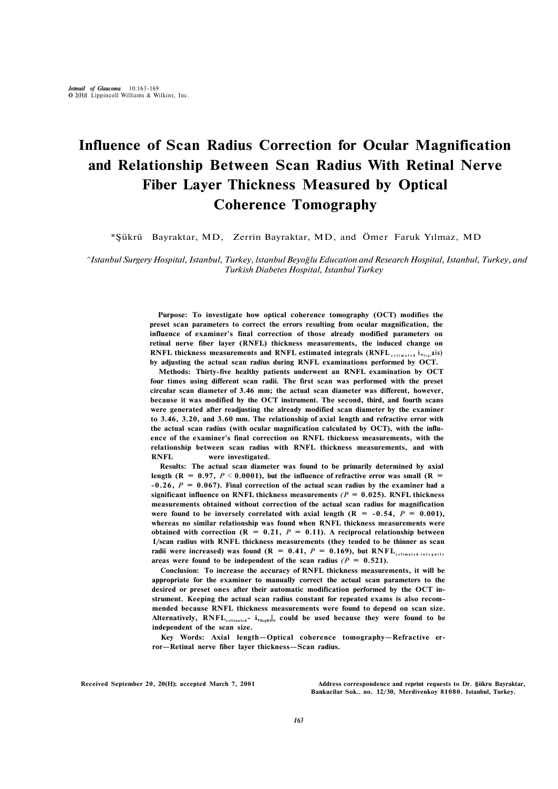# **Influence of Scan Radius Correction for Ocular Magnification and Relationship Between Scan Radius With Retinal Nerve Fiber Layer Thickness Measured by Optical Coherence Tomography**

\*Şükrü Bayraktar, MD, Zerrin Bayraktar, MD, and Ömer Faruk Yılmaz, MD

*^Istanbul Surgery Hospital, Istanbul, Turkey, lstanbul Beyoğlu Education and Research Hospital, Istanbul, Turkey, and Turkish Diabetes Hospital, Istanbul Turkey* 

> **Purpose: To investigate how optical coherence tomography (OCT) modifies the preset scan parameters to correct the errors resulting from ocular magnification, the influence of examiner's final correction of those already modified parameters on retinal nerve fiber layer (RNFL) thickness measurements, the induced change on RNFL thickness measurements and RNFL estimated integrals (RNFL cslimated ln<sub>legr</sub>ais) by adjusting the actual scan radius during RNFL examinations performed by OCT.**

> **Methods: Thirty-five healthy patients underwent an RNFL examination by OCT four times using different scan radii. The first scan was performed with the preset circular scan diameter of 3.46 mm; the actual scan diameter was different, however, because it was modified by the OCT instrument. The second, third, and fourth scans were generated after readjusting the already modified scan diameter by the examiner to 3.46, 3.20, and 3.60 mm. The relationship of axial length and refractive error with the actual scan radius (with ocular magnification calculated by OCT), with the influence of the examiner's final correction on RNFL thickness measurements, with the relationship between scan radius with RNFL thickness measurements, and with RNFL were investigated.**

> **Results: The actual scan diameter was found to be primarily determined by axial**  length ( $R = 0.97$ ,  $P < 0.0001$ ), but the influence of refractive error was small ( $R =$ **-0.26,** *P* **= 0.067). Final correction of the actual scan radius by the examiner had a significant influence on RNFL thickness measurements**  $(P = 0.025)$ . RNFL thickness **measurements obtained without correction of the actual scan radius for magnification**  were found to be inversely correlated with axial length  $(R = -0.54, P = 0.001)$ , **whereas no similar relationship was found when RNFL thickness measurements were obtained with correction (R = 0.21,**  $P = 0.11$ **). A reciprocal relationship between I/scan radius with RNFL thickness measurements (they tended to be thinner as scan radii** were increased) was found  $(R = 0.41, P = 0.169)$ , but  $RNFL_{c-slimated in length}$ areas were found to be independent of the scan radius  $(P = 0.521)$ .

> **Conclusion: To increase the accuracy of RNFL thickness measurements, it will be appropriate for the examiner to manually correct the actual scan parameters to the desired or preset ones after their automatic modification performed by the OCT instrument. Keeping the actual scan radius constant for repeated exams is also recommended because RNFL thickness measurements were found to depend on scan size.**  Alternatively,  $\text{RNFL}_{\text{estimated}}$  **i**,  $\text{length}_{\text{S}}$  could be used because they were found to be **independent of the scan size.**

> **Key Words: Axial length—Optical coherence tomography—Refractive error—Retinal nerve fiber layer thickness—Scan radius.**

**Received September 20, 20(H); accepted March 7, 2001 Address correspondence and reprint requests to Dr. §iikru Bayraktar, Bankacilar Sok.. no. 12/30, Merdivenkoy 81080. Istanbul, Turkey.**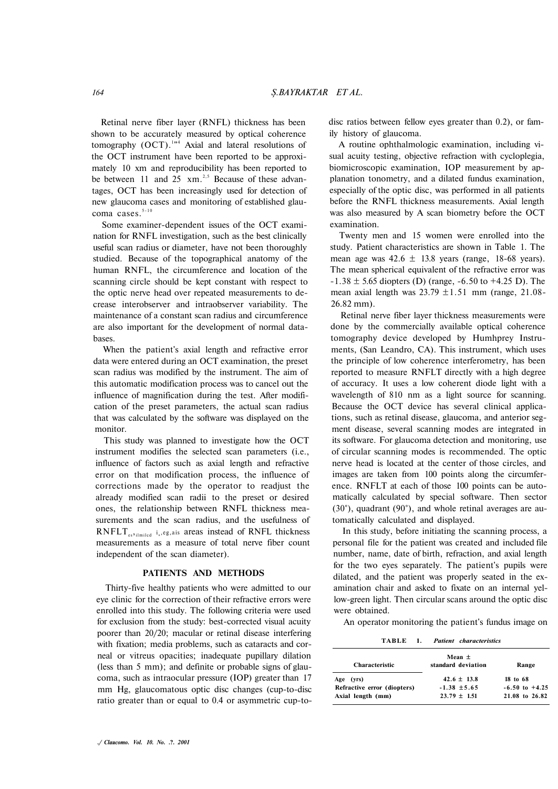Retinal nerve fiber layer (RNFL) thickness has been shown to be accurately measured by optical coherence tomography  $(OCT)$ .<sup>1"4</sup> Axial and lateral resolutions of the OCT instrument have been reported to be approximately 10 xm and reproducibility has been reported to be between 11 and 25  $\,$  xm.<sup>2,5</sup> Because of these advantages, OCT has been increasingly used for detection of new glaucoma cases and monitoring of established glaucoma cases.<sup>5-10</sup>

Some examiner-dependent issues of the OCT examination for RNFL investigation, such as the best clinically useful scan radius or diameter, have not been thoroughly studied. Because of the topographical anatomy of the human RNFL, the circumference and location of the scanning circle should be kept constant with respect to the optic nerve head over repeated measurements to decrease interobserver and intraobserver variability. The maintenance of a constant scan radius and circumference are also important for the development of normal databases.

When the patient's axial length and refractive error data were entered during an OCT examination, the preset scan radius was modified by the instrument. The aim of this automatic modification process was to cancel out the influence of magnification during the test. After modification of the preset parameters, the actual scan radius that was calculated by the software was displayed on the monitor.

This study was planned to investigate how the OCT instrument modifies the selected scan parameters (i.e., influence of factors such as axial length and refractive error on that modification process, the influence of corrections made by the operator to readjust the already modified scan radii to the preset or desired ones, the relationship between RNFL thickness measurements and the scan radius, and the usefulness of  $RNFLT_{es},$  ilmilod in eg, ais areas instead of RNFL thickness measurements as a measure of total nerve fiber count independent of the scan diameter).

## **PATIENTS AND METHODS**

Thirty-five healthy patients who were admitted to our eye clinic for the correction of their refractive errors were enrolled into this study. The following criteria were used for exclusion from the study: best-corrected visual acuity poorer than 20/20; macular or retinal disease interfering with fixation; media problems, such as cataracts and corneal or vitreus opacities; inadequate pupillary dilation (less than 5 mm); and definite or probable signs of glaucoma, such as intraocular pressure (IOP) greater than 17 mm Hg, glaucomatous optic disc changes (cup-to-disc ratio greater than or equal to 0.4 or asymmetric cup-to-

A routine ophthalmologic examination, including visual acuity testing, objective refraction with cycloplegia, biomicroscopic examination, IOP measurement by applanation tonometry, and a dilated fundus examination, especially of the optic disc, was performed in all patients before the RNFL thickness measurements. Axial length was also measured by A scan biometry before the OCT examination.

Twenty men and 15 women were enrolled into the study. Patient characteristics are shown in Table 1. The mean age was  $42.6 \pm 13.8$  years (range, 18-68 years). The mean spherical equivalent of the refractive error was  $-1.38 \pm 5.65$  diopters (D) (range,  $-6.50$  to  $+4.25$  D). The mean axial length was  $23.79 \pm 1.51$  mm (range, 21.08-26.82 mm).

Retinal nerve fiber layer thickness measurements were done by the commercially available optical coherence tomography device developed by Humhprey Instruments, (San Leandro, CA). This instrument, which uses the principle of low coherence interferometry, has been reported to measure RNFLT directly with a high degree of accuracy. It uses a low coherent diode light with a wavelength of 810 nm as a light source for scanning. Because the OCT device has several clinical applications, such as retinal disease, glaucoma, and anterior segment disease, several scanning modes are integrated in its software. For glaucoma detection and monitoring, use of circular scanning modes is recommended. The optic nerve head is located at the center of those circles, and images are taken from 100 points along the circumference. RNFLT at each of those 100 points can be automatically calculated by special software. Then sector (30°), quadrant (90°), and whole retinal averages are automatically calculated and displayed.

In this study, before initiating the scanning process, a personal file for the patient was created and included file number, name, date of birth, refraction, and axial length for the two eyes separately. The patient's pupils were dilated, and the patient was properly seated in the examination chair and asked to fixate on an internal yellow-green light. Then circular scans around the optic disc were obtained.

An operator monitoring the patient's fundus image on

|                                             | <b>TABLE</b> 1. <i>Patient characteristics</i> |                                |
|---------------------------------------------|------------------------------------------------|--------------------------------|
| <b>Characteristic</b>                       | Mean $\pm$<br>standard deviation               | Range                          |
| (yrs)<br>Age<br>Refractive error (diopters) | $42.6 \pm 13.8$<br>$-1.38 \pm 5.65$            | 18 to 68<br>$-6.50$ to $+4.25$ |
| Axial length (mm)                           | $23.79 \pm 1.51$                               | 21.08 to 26.82                 |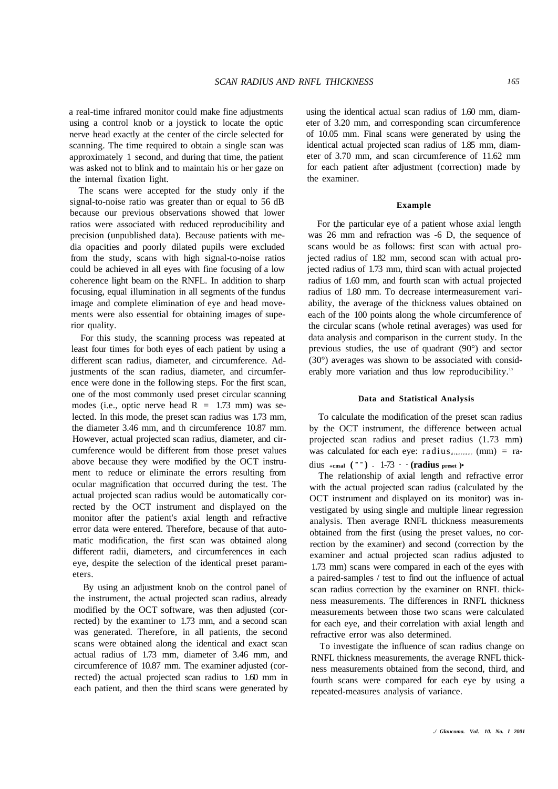a real-time infrared monitor could make fine adjustments using a control knob or a joystick to locate the optic nerve head exactly at the center of the circle selected for scanning. The time required to obtain a single scan was approximately 1 second, and during that time, the patient

the internal fixation light. The scans were accepted for the study only if the signal-to-noise ratio was greater than or equal to 56 dB because our previous observations showed that lower ratios were associated with reduced reproducibility and precision (unpublished data). Because patients with media opacities and poorly dilated pupils were excluded from the study, scans with high signal-to-noise ratios could be achieved in all eyes with fine focusing of a low coherence light beam on the RNFL. In addition to sharp focusing, equal illumination in all segments of the fundus image and complete elimination of eye and head movements were also essential for obtaining images of superior quality.

was asked not to blink and to maintain his or her gaze on

For this study, the scanning process was repeated at least four times for both eyes of each patient by using a different scan radius, diameter, and circumference. Adjustments of the scan radius, diameter, and circumference were done in the following steps. For the first scan, one of the most commonly used preset circular scanning modes (i.e., optic nerve head  $R = 1.73$  mm) was selected. In this mode, the preset scan radius was 1.73 mm, the diameter 3.46 mm, and th circumference 10.87 mm. However, actual projected scan radius, diameter, and circumference would be different from those preset values above because they were modified by the OCT instrument to reduce or eliminate the errors resulting from ocular magnification that occurred during the test. The actual projected scan radius would be automatically corrected by the OCT instrument and displayed on the monitor after the patient's axial length and refractive error data were entered. Therefore, because of that automatic modification, the first scan was obtained along different radii, diameters, and circumferences in each eye, despite the selection of the identical preset parameters.

By using an adjustment knob on the control panel of the instrument, the actual projected scan radius, already modified by the OCT software, was then adjusted (corrected) by the examiner to 1.73 mm, and a second scan was generated. Therefore, in all patients, the second scans were obtained along the identical and exact scan actual radius of 1.73 mm, diameter of 3.46 mm, and circumference of 10.87 mm. The examiner adjusted (corrected) the actual projected scan radius to 1.60 mm in each patient, and then the third scans were generated by using the identical actual scan radius of 1.60 mm, diameter of 3.20 mm, and corresponding scan circumference of 10.05 mm. Final scans were generated by using the identical actual projected scan radius of 1.85 mm, diameter of 3.70 mm, and scan circumference of 11.62 mm for each patient after adjustment (correction) made by the examiner.

## **Example**

For t,he particular eye of a patient whose axial length was 26 mm and refraction was -6 D, the sequence of scans would be as follows: first scan with actual projected radius of 1.82 mm, second scan with actual projected radius of 1.73 mm, third scan with actual projected radius of 1.60 mm, and fourth scan with actual projected radius of 1.80 mm. To decrease intermeasurement variability, the average of the thickness values obtained on each of the 100 points along the whole circumference of the circular scans (whole retinal averages) was used for data analysis and comparison in the current study. In the previous studies, the use of quadrant (90°) and sector (30°) averages was shown to be associated with considerably more variation and thus low reproducibility.<sup>25</sup>

#### **Data and Statistical Analysis**

To calculate the modification of the preset scan radius by the OCT instrument, the difference between actual projected scan radius and preset radius (1.73 mm) was calculated for each eye:  $radius_{div{\text{force}}}$  (mm) = radius **«cmal ( m m ) -** 1-73  **m m (radius preset )•** 

The relationship of axial length and refractive error with the actual projected scan radius (calculated by the OCT instrument and displayed on its monitor) was investigated by using single and multiple linear regression analysis. Then average RNFL thickness measurements obtained from the first (using the preset values, no correction by the examiner) and second (correction by the examiner and actual projected scan radius adjusted to 1.73 mm) scans were compared in each of the eyes with a paired-samples / test to find out the influence of actual scan radius correction by the examiner on RNFL thickness measurements. The differences in RNFL thickness measurements between those two scans were calculated for each eye, and their correlation with axial length and refractive error was also determined.

To investigate the influence of scan radius change on RNFL thickness measurements, the average RNFL thickness measurements obtained from the second, third, and fourth scans were compared for each eye by using a repeated-measures analysis of variance.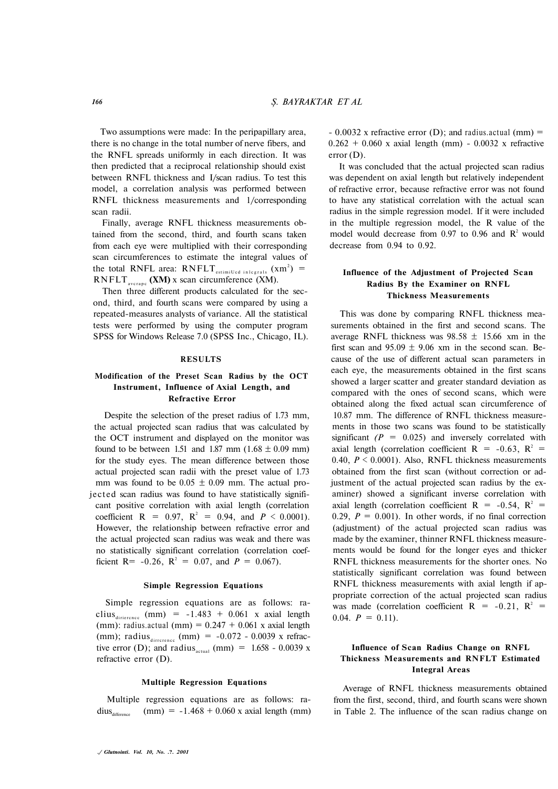Two assumptions were made: In the peripapillary area, there is no change in the total number of nerve fibers, and the RNFL spreads uniformly in each direction. It was then predicted that a reciprocal relationship should exist between RNFL thickness and I/scan radius. To test this model, a correlation analysis was performed between RNFL thickness measurements and 1/corresponding scan radii.

Finally, average RNFL thickness measurements obtained from the second, third, and fourth scans taken from each eye were multiplied with their corresponding scan circumferences to estimate the integral values of the total RNFL area:  $RNFLT_{\text{estimilcd inlegrals}} (xm^2) =$  $RNFLT_{average}$  (XM) x scan circumference (XM).

Then three different products calculated for the second, third, and fourth scans were compared by using a repeated-measures analysts of variance. All the statistical tests were performed by using the computer program SPSS for Windows Release 7.0 (SPSS Inc., Chicago, IL).

#### **RESULTS**

# **Modification of the Preset Scan Radius by the OCT Instrument, Influence of Axial Length, and Refractive Error**

Despite the selection of the preset radius of 1.73 mm, the actual projected scan radius that was calculated by the OCT instrument and displayed on the monitor was found to be between 1.51 and 1.87 mm  $(1.68 \pm 0.09 \text{ mm})$ for the study eyes. The mean difference between those actual projected scan radii with the preset value of 1.73 mm was found to be  $0.05 \pm 0.09$  mm. The actual projected scan radius was found to have statistically significant positive correlation with axial length (correlation coefficient  $R = 0.97$ ,  $R^2 = 0.94$ , and  $P \le 0.0001$ ). However, the relationship between refractive error and the actual projected scan radius was weak and there was no statistically significant correlation (correlation coefficient R=  $-0.26$ , R<sup>2</sup> = 0.07, and P = 0.067).

#### **Simple Regression Equations**

Simple regression equations are as follows: raclius $_{\text{diricence}}$  (mm) = -1.483 + 0.061 x axial length (mm): radius.actual (mm) =  $0.247 + 0.061$  x axial length (mm); radius $_{\text{diricrence}}$  (mm) = -0.072 - 0.0039 x refractive error (D); and radius<sub>actual</sub> (mm) =  $1.658 - 0.0039$  x refractive error (D).

#### **Multiple Regression Equations**

Multiple regression equations are as follows: ra $dius_{difference}$  $(mm) = -1.468 + 0.060$  x axial length  $(mm)$ 

 $-$  0.0032 x refractive error (D); and radius.actual (mm) =  $0.262 + 0.060$  x axial length (mm) -  $0.0032$  x refractive error (D).

It was concluded that the actual projected scan radius was dependent on axial length but relatively independent of refractive error, because refractive error was not found to have any statistical correlation with the actual scan radius in the simple regression model. If it were included in the multiple regression model, the R value of the model would decrease from 0.97 to 0.96 and  $\mathbb{R}^2$  would decrease from 0.94 to 0.92.

## **Influence of the Adjustment of Projected Scan Radius By the Examiner on RNFL Thickness Measurements**

This was done by comparing RNFL thickness measurements obtained in the first and second scans. The average RNFL thickness was  $98.58 \pm 15.66$  xm in the first scan and  $95.09 \pm 9.06$  xm in the second scan. Because of the use of different actual scan parameters in each eye, the measurements obtained in the first scans showed a larger scatter and greater standard deviation as compared with the ones of second scans, which were obtained along the fixed actual scan circumference of 10.87 mm. The difference of RNFL thickness measurements in those two scans was found to be statistically significant  $(P = 0.025)$  and inversely correlated with axial length (correlation coefficient R = -0.63,  $R^2$  = 0.40, *P <* 0.0001). Also, RNFL thickness measurements obtained from the first scan (without correction or adjustment of the actual projected scan radius by the examiner) showed a significant inverse correlation with axial length (correlation coefficient R = -0.54,  $R^2$  = 0.29,  $P = 0.001$ ). In other words, if no final correction (adjustment) of the actual projected scan radius was made by the examiner, thinner RNFL thickness measurements would be found for the longer eyes and thicker RNFL thickness measurements for the shorter ones. No statistically significant correlation was found between RNFL thickness measurements with axial length if appropriate correction of the actual projected scan radius was made (correlation coefficient R =  $-0.21$ , R<sup>2</sup> = 0.04.  $P = 0.11$ .

# **Influence of Scan Radius Change on RNFL Thickness Measurements and RNFLT Estimated Integral Areas**

Average of RNFL thickness measurements obtained from the first, second, third, and fourth scans were shown in Table 2. The influence of the scan radius change on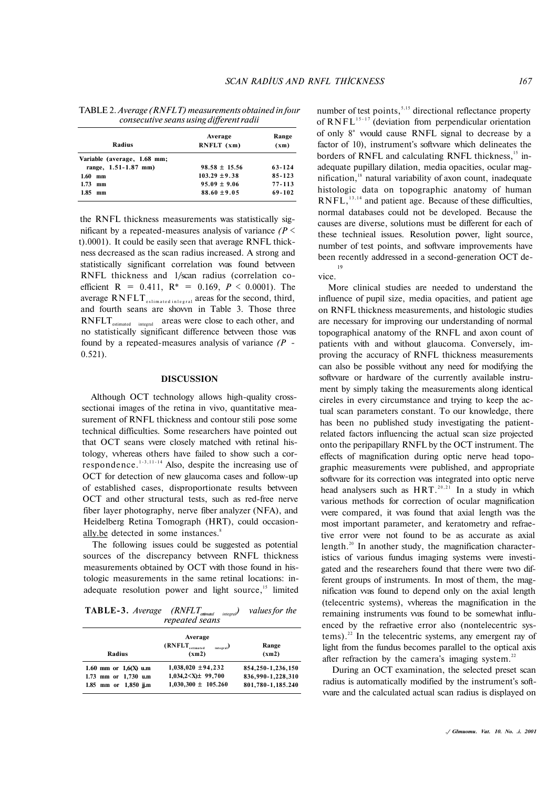TABLE 2. *Average (RNFLT) measurements obtained in foıır consecutive seans using different radii* 

| Radius                      | Average<br>RNFLT (xm) | Range<br>(xm) |
|-----------------------------|-----------------------|---------------|
| Variable (average, 1.68 mm; |                       |               |
| range, 1.51-1.87 mm)        | $98.58 \pm 15.56$     | 63-124        |
| 1.60<br>mm                  | $103.29 \pm 9.38$     | $85 - 123$    |
| 1.73<br>mm                  | $95.09 \pm 9.06$      | $77 - 113$    |
| 1.85<br>mm                  | $88.60 \pm 9.05$      | 69-102        |

the RNFL thickness measurements was statistically significant by a repeated-measures analysis of variance *(P <*  t).0001). It could be easily seen that average RNFL thickness decreased as the scan radius increased. A strong and statistically significant correlation vvas found betvveen RNFL thickness and 1/scan radius (correlation coefficient R = 0.411, R<sup>\*</sup> = 0.169, *P* < 0.0001). The average  $RNFLT_{\text{estimated integral}}$  areas for the second, third, and fourth seans are shovvn in Table 3. Those three  $RNFLT<sub>estimated integral</sub>$  areas were close to each other, and no statistically significant difference betvveen those vvas found by a repeated-measures analysis of variance *(P -* 0.521).

## **DISCUSSION**

Although OCT technology allows high-quality crosssectionai images of the retina in vivo, quantitative measurement of RNFL thickness and contour stili pose some technical difficulties. Some researchers have pointed out that OCT seans vvere closely matched vvith retinal histology, vvhereas others have failed to show such a correspondence. $1-3,11-14$  Also, despite the increasing use of OCT for detection of new glaucoma cases and follow-up of established cases, disproportionate results betvveen OCT and other structural tests, such as red-free nerve fiber layer photography, nerve fiber analyzer (NFA), and Heidelberg Retina Tomograph (HRT), could occasionally, be detected in some instances.<sup>8</sup>

The following issues could be suggested as potential sources of the discrepancy betvveen RNFL thickness measurements obtained by OCT vvith those found in histologic measurements in the same retinal locations: inadequate resolution power and light source,<sup>15</sup> limited

**TABLE-3.** *Average (RNFLTesttimated integral) values for the repeated seans* 

|                         | Average                           |                        |
|-------------------------|-----------------------------------|------------------------|
|                         | $(RNFLT_{estimated}$<br>integral) | Range                  |
| Radius                  | (xm2)                             | (xm2)                  |
| 1.60 mm or $1,6(X)$ u.m | $1,038,020 \pm 94,232$            | 854, 250 - 1, 236, 150 |
| 1.73 mm or 1,730 u.m    | $1,034,2<\chi$ 99,700             | 836,990-1,228,310      |
| 1.85 mm or 1,850 jj.m   | $1,030,300 \pm 105.260$           | 801,780-1,185.240      |

number of test points,<sup>5,15</sup> directional reflectance property of  $RNFL^{15-17}$  (deviation from perpendicular orientation of only 8° vvould cause RNFL signal to decrease by a factor of 10), instrument's softvvare which delineates the borders of RNFL and calculating RNFL thickness,<sup>15</sup> inadequate pupillary dilation, media opacities, ocular magnification,<sup>18</sup> natural variability of axon count, inadequate histologic data on topographic anatomy of human  $RNFL$ ,  $^{13,14}$  and patient age. Because of these difficulties, normal databases could not be developed. Because the causes are diverse, solutions must be different for each of these technieal issues. Resolution povver, light source, number of test points, and softvvare improvements have been recently addressed in a second-generation OCT de-19

vice.

More clinical studies are needed to understand the influence of pupil size, media opacities, and patient age on RNFL thickness measurements, and histologic studies are necessary for improving our understanding of normal topographical anatomy of the RNFL and axon count of patients vvith and without glaucoma. Conversely, improving the accuracy of RNFL thickness measurements can also be possible vvithout any need for modifying the softvvare or hardware of the currently available instrument by simply taking the measurements along identical cireles in every circumstance and trying to keep the actual scan parameters constant. To our knowledge, there has been no published study investigating the patientrelated factors influencing the actual scan size projected onto the peripapillary RNFL by the OCT instrument. The effects of magnification during optic nerve head topographic measurements vvere published, and appropriate softvvare for its correction vvas integrated into optic nerve head analysers such as  $HRT$ .<sup>20,21</sup> In a study in which various methods for correction of ocular magnification vvere compared, it vvas found that axial length vvas the most important parameter, and keratometry and refraetive error vvere not found to be as accurate as axial length.<sup>20</sup> In another study, the magnification characteristics of various fundus imaging systems vvere investigated and the researehers found that there vvere tvvo different groups of instruments. In most of them, the magnification vvas found to depend only on the axial length (telecentric systems), vvhereas the magnification in the remaining instruments vvas found to be somewhat influenced by the refraetive error also (nontelecentric sys $tems$ ).<sup>22</sup> In the telecentric systems, any emergent ray of light from the fundus becomes parallel to the optical axis after refraction by the camera's imaging system. $22$ 

During an OCT examination, the selected preset scan radius is automatically modified by the instrument's softvvare and the calculated actual scan radius is displayed on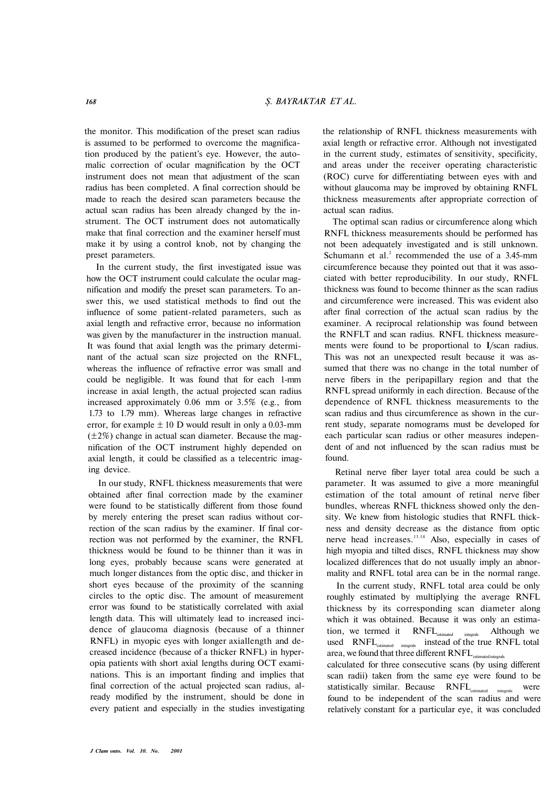the monitor. This modification of the preset scan radius is assumed to be performed to overcome the magnification produced by the patient's eye. However, the automalic correction of ocular magnification by the OCT instrument does not mean that adjustment of the scan radius has been completed. A final correction should be made to reach the desired scan parameters because the actual scan radius has been already changed by the instrument. The OCT instrument does not automatically make that final correction and the examiner herself must make it by using a control knob, not by changing the preset parameters.

In the current study, the first investigated issue was how the OCT instrument could calculate the ocular magnification and modify the preset scan parameters. To answer this, we used statistical methods to find out the influence of some patient-related parameters, such as axial length and refractive error, because no information was given by the manufacturer in the instruction manual. It was found that axial length was the primary determinant of the actual scan size projected on the RNFL, whereas the influence of refractive error was small and could be negligible. It was found that for each 1-mm increase in axial length, the actual projected scan radius increased approximately 0.06 mm or 3.5% (e.g., from 1.73 to 1.79 mm). Whereas large changes in refractive error, for example  $\pm 10$  D would result in only a 0.03-mm  $(\pm 2\%)$  change in actual scan diameter. Because the magnification of the OCT instrument highly depended on axial length, it could be classified as a telecentric imaging device.

In our study, RNFL thickness measurements that were obtained after final correction made by the examiner were found to be statistically different from those found by merely entering the preset scan radius without correction of the scan radius by the examiner. If final correction was not performed by the examiner, the RNFL thickness would be found to be thinner than it was in long eyes, probably because scans were generated at much longer distances from the optic disc, and thicker in short eyes because of the proximity of the scanning circles to the optic disc. The amount of measurement error was found to be statistically correlated with axial length data. This will ultimately lead to increased incidence of glaucoma diagnosis (because of a thinner RNFL) in myopic eyes with longer axiallength and decreased incidence (because of a thicker RNFL) in hyperopia patients with short axial lengths during OCT examinations. This is an important finding and implies that final correction of the actual projected scan radius, already modified by the instrument, should be done in every patient and especially in the studies investigating the relationship of RNFL thickness measurements with axial length or refractive error. Although not investigated in the current study, estimates of sensitivity, specificity, and areas under the receiver operating characteristic (ROC) curve for differentiating between eyes with and without glaucoma may be improved by obtaining RNFL thickness measurements after appropriate correction of actual scan radius.

The optimal scan radius or circumference along which RNFL thickness measurements should be performed has not been adequately investigated and is still unknown. Schumann et al. $2$  recommended the use of a 3.45-mm circumference because they pointed out that it was associated with better reproducibility. In our study, RNFL thickness was found to become thinner as the scan radius and circumference were increased. This was evident also after final correction of the actual scan radius by the examiner. A reciprocal relationship was found between the RNFLT and scan radius. RNFL thickness measurements were found to be proportional to **I**/scan radius. This was not an unexpected result because it was assumed that there was no change in the total number of nerve fibers in the peripapillary region and that the RNFL spread uniformly in each direction. Because of the dependence of RNFL thickness measurements to the scan radius and thus circumference as shown in the current study, separate nomograms must be developed for each particular scan radius or other measures independent of and not influenced by the scan radius must be found.

Retinal nerve fiber layer total area could be such a parameter. It was assumed to give a more meaningful estimation of the total amount of retinal nerve fiber bundles, whereas RNFL thickness showed only the density. We knew from histologic studies that RNFL thickness and density decrease as the distance from optic nerve head increases.<sup>13,14</sup> Also, especially in cases of high myopia and tilted discs, RNFL thickness may show localized differences that do not usually imply an abnormality and RNFL total area can be in the normal range.

In the current study, RNFL total area could be only roughly estimated by multiplying the average RNFL thickness by its corresponding scan diameter along which it was obtained. Because it was only an estimation, we termed it  $RNFL$ <sub>cstimated integrals</sub> Although we used  $RNFL$ <sub>cstimated integrals</sub> instead of the true RNFL total area, we found that three different  $\text{RNFL}_{\text{\tiny estimated integrals}}$ 

calculated for three consecutive scans (by using different scan radii) taken from the same eye were found to be statistically similar. Because  $RNFL_{\text{estimated}}$  integrals were found to be independent of the scan radius and were relatively constant for a particular eye, it was concluded